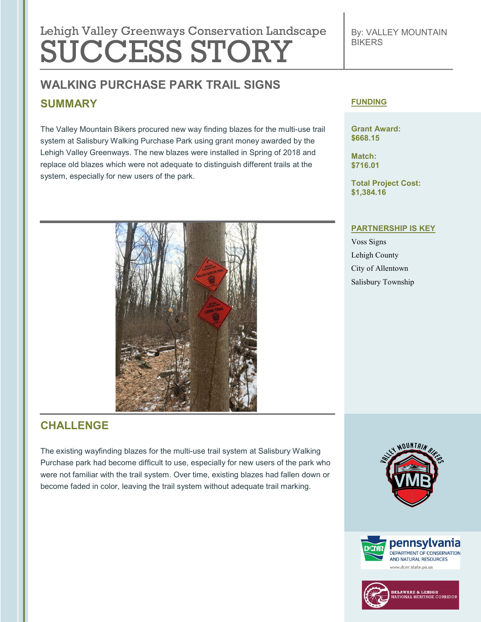# Lehigh Valley Greenways Conservation Landscape SUCCESS STORY

## **WALKING PURCHASE PARK TRAIL SIGNS SUMMARY**

The Valley Mountain Bikers procured new way finding blazes for the multi-use trail system at Salisbury Walking Purchase Park using grant money awarded by the Lehigh Valley Greenways. The new blazes were installed in Spring of 2018 and replace old blazes which were not adequate to distinguish different trails at the system, especially for new users of the park.



### **CHALLENGE**

The existing wayfinding blazes for the multi-use trail system at Salisbury Walking Purchase park had become difficult to use, especially for new users of the park who were not familiar with the trail system. Over time, existing blazes had fallen down or become faded in color, leaving the trail system without adequate trail marking.

#### **FUNDING**

**Grant Award: \$668.15**

**Match: \$716.01**

**Total Project Cost: \$1,384.16**

#### **PARTNERSHIP IS KEY**

Voss Signs Lehigh County City of Allentown Salisbury Township